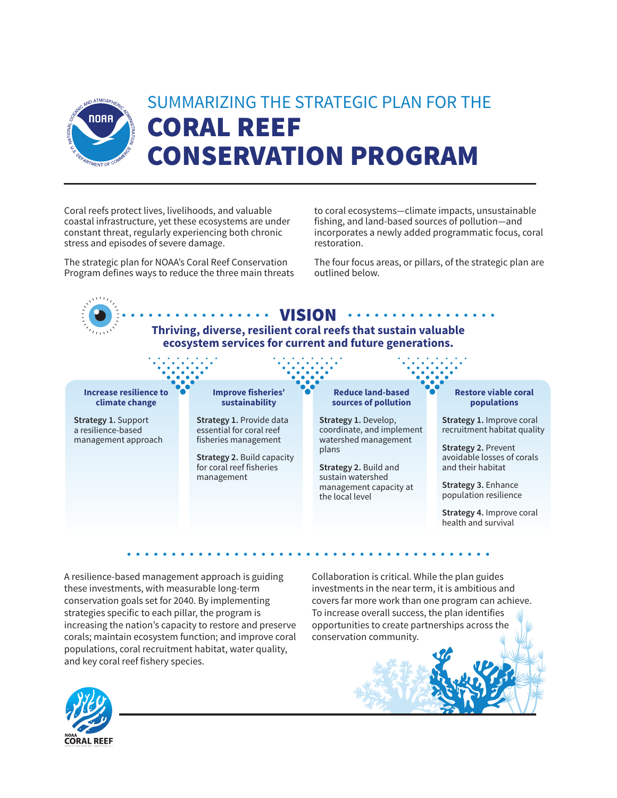

Coral reefs protect lives, livelihoods, and valuable coastal infrastructure, yet these ecosystems are under constant threat, regularly experiencing both chronic stress and episodes of severe damage.

The strategic plan for NOAA's Coral Reef Conservation Program defines ways to reduce the three main threats to coral ecosystems—climate impacts, unsustainable fishing, and land-based sources of pollution—and incorporates a newly added programmatic focus, coral restoration.

The four focus areas, or pillars, of the strategic plan are outlined below.

## $\cdots$  vision  $\begin{array}{cccccccccccccc} \bullet & \bullet & \bullet & \bullet & \bullet & \bullet & \bullet & \bullet \end{array}$ **Thriving, diverse, resilient coral reefs that sustain valuable ecosystem services for current and future generations. Increase resilience to Improve fisheries' Reduce land-based Restore viable coral sustainability climate change sources of pollution populations Strategy 1.** Support **Strategy 1.** Provide data **Strategy 1.** Develop, **Strategy 1.** Improve coral essential for coral reef coordinate, and implement a resilience-based recruitment habitat quality management approach fisheries management watershed management **Strategy 2.** Prevent plans avoidable losses of corals **Strategy 2.** Build capacity for coral reef fisheries **Strategy 2.** Build and and their habitat management sustain watershed management capacity at **Strategy 3.** Enhance population resilience the local level **Strategy 4.** Improve coral health and survival

A resilience-based management approach is guiding these investments, with measurable long-term conservation goals set for 2040. By implementing strategies specific to each pillar, the program is increasing the nation's capacity to restore and preserve corals; maintain ecosystem function; and improve coral populations, coral recruitment habitat, water quality, and key coral reef fishery species.

Collaboration is critical. While the plan guides investments in the near term, it is ambitious and covers far more work than one program can achieve. To increase overall success, the plan identifies opportunities to create partnerships across the conservation community.